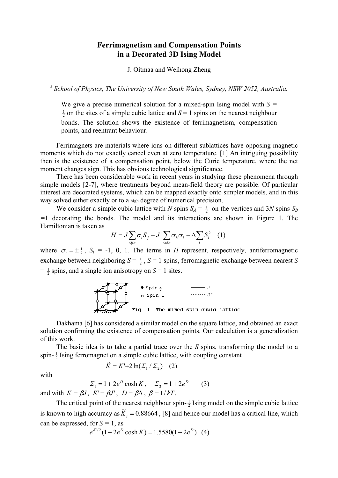## **Ferrimagnetism and Compensation Points in a Decorated 3D Ising Model**

J. Oitmaa and Weihong Zheng

<sup>a</sup> *School of Physics, The University of New South Wales, Sydney, NSW 2052, Australia.* 

We give a precise numerical solution for a mixed-spin Ising model with  $S =$  $\frac{1}{2}$  on the sites of a simple cubic lattice and  $S = 1$  spins on the nearest neighbour bonds. The solution shows the existence of ferrimagnetism, compensation points, and reentrant behaviour.

Ferrimagnets are materials where ions on different sublattices have opposing magnetic moments which do not exactly cancel even at zero temperature. [1] An intriguing possibility then is the existence of a compensation point, below the Curie temperature, where the net moment changes sign. This has obvious technological significance.

There has been considerable work in recent years in studying these phenomena through simple models [2-7], where treatments beyond mean-field theory are possible. Of particular interest are decorated systems, which can be mapped exactly onto simpler models, and in this way solved either exactly or to a high degree of numerical precision.

We consider a simple cubic lattice with *N* spins  $S_A = \frac{1}{2}$  on the vertices and 3*N* spins  $S_B$ *=*1 decorating the bonds. The model and its interactions are shown in Figure 1. The Hamiltonian is taken as

$$
H = J \sum_{\langle ij \rangle} \sigma_i S_j - J' \sum_{\langle kl \rangle} \sigma_k \sigma_l - \Delta \sum_i S_i^2 \quad (1)
$$

where  $\sigma_i = \pm \frac{1}{2}$ ,  $S_j = -1$ , 0, 1. The terms in *H* represent, respectively, antiferromagnetic exchange between neighboring  $S = \frac{1}{2}$ ,  $S = 1$  spins, ferromagnetic exchange between nearest *S*  $=$   $\frac{1}{2}$  spins, and a single ion anisotropy on *S* = 1 sites.



Dakhama [6] has considered a similar model on the square lattice, and obtained an exact solution confirming the existence of compensation points. Our calculation is a generalization of this work.

The basic idea is to take a partial trace over the *S* spins, transforming the model to a spin- $\frac{1}{2}$  Ising ferromagnet on a simple cubic lattice, with coupling constant

$$
\widetilde{K} = K' + 2\ln(\Sigma_1 / \Sigma_2) \quad (2)
$$

with

$$
\Sigma_1 = 1 + 2e^D \cosh K
$$
,  $\Sigma_2 = 1 + 2e^D$  (3)

and with  $K = \beta J$ ,  $K' = \beta J'$ ,  $D = \beta \Delta$ ,  $\beta = 1/kT$ .

The critical point of the nearest neighbour spin- $\frac{1}{2}$  Ising model on the simple cubic lattice is known to high accuracy as  $\widetilde{K}_c = 0.88664$ , [8] and hence our model has a critical line, which can be expressed, for  $S = 1$ , as

$$
e^{K/2}(1+2e^D\cosh K) = 1.5580(1+2e^D) \quad (4)
$$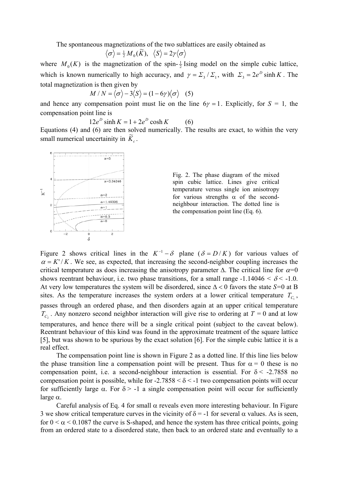The spontaneous magnetizations of the two sublattices are easily obtained as

$$
\langle \sigma \rangle = \frac{1}{2} M_0(\widetilde{K}), \ \langle S \rangle = 2 \gamma \langle \sigma \rangle
$$

where  $M_0(K)$  is the magnetization of the spin- $\frac{1}{2}$  Ising model on the simple cubic lattice, which is known numerically to high accuracy, and  $\gamma = \sum_{3} / \sum_{1}$ , with  $\sum_{3} = 2e^{D} \sinh K$ . The total magnetization is then given by

$$
M/N = \langle \sigma \rangle - 3\langle S \rangle = (1 - 6\gamma) \langle \sigma \rangle
$$
 (5)

and hence any compensation point must lie on the line  $6\gamma = 1$ . Explicitly, for  $S = 1$ , the compensation point line is

 $12e^{D}$  sinh  $K = 1 + 2e^{D}$  cosh  $K$  (6)

Equations (4) and (6) are then solved numerically. The results are exact, to within the very small numerical uncertainity in  $\widetilde{K}_c$ .



Fig. 2. The phase diagram of the mixed spin cubic lattice. Lines give critical temperature versus single ion anisotropy for various strengths  $\alpha$  of the secondneighbour interaction. The dotted line is the compensation point line (Eq. 6).

Figure 2 shows critical lines in the  $K^{-1} - \delta$  plane ( $\delta = D/K$ ) for various values of  $\alpha = K'/K$ . We see, as expected, that increasing the second-neighbor coupling increases the critical temperature as does increasing the anisotropy parameter  $\Delta$ . The critical line for  $\alpha=0$ shows reentrant behaviour, i.e. two phase transitions, for a small range  $-1.14046 < \delta < -1.0$ . At very low temperatures the system will be disordered, since ∆ < 0 favors the state *S=*0 at B sites. As the temperature increases the system orders at a lower critical temperature  $T_{C_1}$ , passes through an ordered phase, and then disorders again at an upper critical temperature  $T_{C_2}$ . Any nonzero second neighbor interaction will give rise to ordering at  $T = 0$  and at low temperatures, and hence there will be a single critical point (subject to the caveat below). Reentrant behaviour of this kind was found in the approximate treatment of the square lattice [5], but was shown to be spurious by the exact solution [6]. For the simple cubic lattice it is a real effect.

The compensation point line is shown in Figure 2 as a dotted line. If this line lies below the phase transition line a compensation point will be present. Thus for  $\alpha = 0$  these is no compensation point, i.e. a second-neighbour interaction is essential. For  $\delta$  < -2.7858 no compensation point is possible, while for  $-2.7858 < \delta < -1$  two compensation points will occur for sufficiently large  $\alpha$ . For  $\delta$  > -1 a single compensation point will occur for sufficiently large α.

Careful analysis of Eq. 4 for small  $\alpha$  reveals even more interesting behaviour. In Figure 3 we show critical temperature curves in the vicinity of  $\delta$  = -1 for several  $\alpha$  values. As is seen, for  $0 \le \alpha \le 0.1087$  the curve is S-shaped, and hence the system has three critical points, going from an ordered state to a disordered state, then back to an ordered state and eventually to a